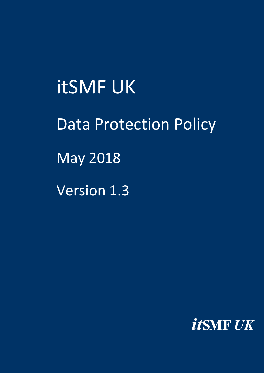itSMF UK Data Protection Policy May 2018 Version 1.3

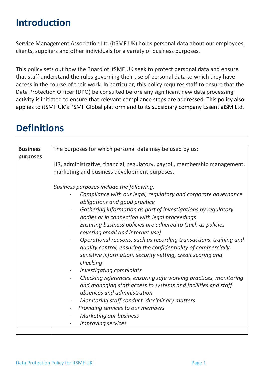# **Introduction**

Service Management Association Ltd (itSMF UK) holds personal data about our employees, clients, suppliers and other individuals for a variety of business purposes.

This policy sets out how the Board of itSMF UK seek to protect personal data and ensure that staff understand the rules governing their use of personal data to which they have access in the course of their work. In particular, this policy requires staff to ensure that the Data Protection Officer (DPO) be consulted before any significant new data processing activity is initiated to ensure that relevant compliance steps are addressed. This policy also applies to itSMF UK's PSMF Global platform and to its subsidiary company EssentialSM Ltd.

| <b>Business</b> | The purposes for which personal data may be used by us:                                                                                                                                                                       |
|-----------------|-------------------------------------------------------------------------------------------------------------------------------------------------------------------------------------------------------------------------------|
| purposes        | HR, administrative, financial, regulatory, payroll, membership management,<br>marketing and business development purposes.                                                                                                    |
|                 | Business purposes include the following:                                                                                                                                                                                      |
|                 | Compliance with our legal, regulatory and corporate governance<br>obligations and good practice                                                                                                                               |
|                 | Gathering information as part of investigations by regulatory<br>$\overline{\phantom{a}}$<br>bodies or in connection with legal proceedings                                                                                   |
|                 | Ensuring business policies are adhered to (such as policies<br>$\overline{\phantom{a}}$<br>covering email and internet use)                                                                                                   |
|                 | Operational reasons, such as recording transactions, training and<br>$\overline{\phantom{a}}$<br>quality control, ensuring the confidentiality of commercially<br>sensitive information, security vetting, credit scoring and |
|                 | checking<br><b>Investigating complaints</b><br>$\overline{\phantom{a}}$                                                                                                                                                       |
|                 | Checking references, ensuring safe working practices, monitoring<br>and managing staff access to systems and facilities and staff<br>absences and administration                                                              |
|                 | Monitoring staff conduct, disciplinary matters<br>$\overline{\phantom{a}}$                                                                                                                                                    |
|                 | Providing services to our members                                                                                                                                                                                             |
|                 | <b>Marketing our business</b>                                                                                                                                                                                                 |
|                 | <b>Improving services</b>                                                                                                                                                                                                     |
|                 |                                                                                                                                                                                                                               |

# **Definitions**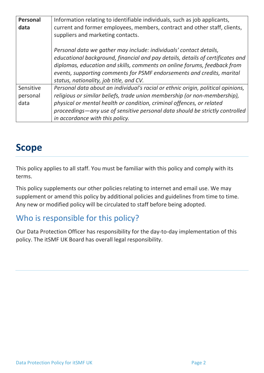| Personal<br>data              | Information relating to identifiable individuals, such as job applicants,<br>current and former employees, members, contract and other staff, clients,<br>suppliers and marketing contacts.                                                                                                                                                               |
|-------------------------------|-----------------------------------------------------------------------------------------------------------------------------------------------------------------------------------------------------------------------------------------------------------------------------------------------------------------------------------------------------------|
|                               | Personal data we gather may include: individuals' contact details,<br>educational background, financial and pay details, details of certificates and<br>diplomas, education and skills, comments on online forums, feedback from<br>events, supporting comments for PSMF endorsements and credits, marital<br>status, nationality, job title, and CV.     |
| Sensitive<br>personal<br>data | Personal data about an individual's racial or ethnic origin, political opinions,<br>religious or similar beliefs, trade union membership (or non-membership),<br>physical or mental health or condition, criminal offences, or related<br>proceedings—any use of sensitive personal data should be strictly controlled<br>in accordance with this policy. |

## **Scope**

This policy applies to all staff. You must be familiar with this policy and comply with its terms.

This policy supplements our other policies relating to internet and email use. We may supplement or amend this policy by additional policies and guidelines from time to time. Any new or modified policy will be circulated to staff before being adopted.

## Who is responsible for this policy?

Our Data Protection Officer has responsibility for the day-to-day implementation of this policy. The itSMF UK Board has overall legal responsibility.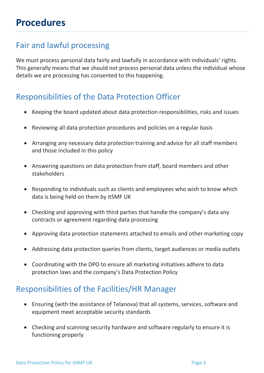## Fair and lawful processing

We must process personal data fairly and lawfully in accordance with individuals' rights. This generally means that we should not process personal data unless the individual whose details we are processing has consented to this happening.

## Responsibilities of the Data Protection Officer

- Keeping the board updated about data protection responsibilities, risks and issues
- Reviewing all data protection procedures and policies on a regular basis
- Arranging any necessary data protection training and advice for all staff members and those included in this policy
- Answering questions on data protection from staff, board members and other stakeholders
- Responding to individuals such as clients and employees who wish to know which data is being held on them by itSMF UK
- Checking and approving with third parties that handle the company's data any contracts or agreement regarding data processing
- Approving data protection statements attached to emails and other marketing copy
- Addressing data protection queries from clients, target audiences or media outlets
- Coordinating with the DPO to ensure all marketing initiatives adhere to data protection laws and the company's Data Protection Policy

### Responsibilities of the Facilities/HR Manager

- Ensuring (with the assistance of Telanova) that all systems, services, software and equipment meet acceptable security standards
- Checking and scanning security hardware and software regularly to ensure it is functioning properly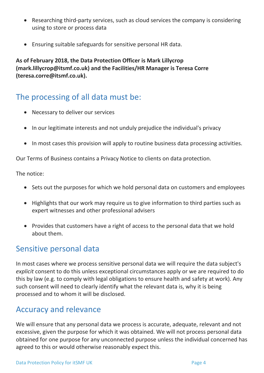- Researching third-party services, such as cloud services the company is considering using to store or process data
- Ensuring suitable safeguards for sensitive personal HR data.

**As of February 2018, the Data Protection Officer is Mark Lillycrop (mark.lillycrop@itsmf.co.uk) and the Facilities/HR Manager is Teresa Corre (teresa.corre@itsmf.co.uk).**

### The processing of all data must be:

- Necessary to deliver our services
- In our legitimate interests and not unduly prejudice the individual's privacy
- In most cases this provision will apply to routine business data processing activities.

Our Terms of Business contains a Privacy Notice to clients on data protection.

The notice:

- Sets out the purposes for which we hold personal data on customers and employees
- Highlights that our work may require us to give information to third parties such as expert witnesses and other professional advisers
- Provides that customers have a right of access to the personal data that we hold about them.

#### Sensitive personal data

In most cases where we process sensitive personal data we will require the data subject's *explicit* consent to do this unless exceptional circumstances apply or we are required to do this by law (e.g. to comply with legal obligations to ensure health and safety at work). Any such consent will need to clearly identify what the relevant data is, why it is being processed and to whom it will be disclosed.

### Accuracy and relevance

We will ensure that any personal data we process is accurate, adequate, relevant and not excessive, given the purpose for which it was obtained. We will not process personal data obtained for one purpose for any unconnected purpose unless the individual concerned has agreed to this or would otherwise reasonably expect this.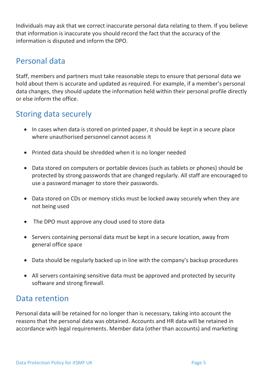Individuals may ask that we correct inaccurate personal data relating to them. If you believe that information is inaccurate you should record the fact that the accuracy of the information is disputed and inform the DPO.

### Personal data

Staff, members and partners must take reasonable steps to ensure that personal data we hold about them is accurate and updated as required. For example, if a member's personal data changes, they should update the information held within their personal profile directly or else inform the office.

## Storing data securely

- In cases when data is stored on printed paper, it should be kept in a secure place where unauthorised personnel cannot access it
- Printed data should be shredded when it is no longer needed
- Data stored on computers or portable devices (such as tablets or phones) should be protected by strong passwords that are changed regularly. All staff are encouraged to use a [password manager](http://cybersecurityzen.com/cybersecurity/keep-data-safe-rise-password-managers-1654/) to store their passwords.
- Data stored on CDs or memory sticks must be locked away securely when they are not being used
- The DPO must approve any cloud used to store data
- Servers containing personal data must be kept in a secure location, away from general office space
- Data should be regularly backed up in line with the company's backup procedures
- All servers containing sensitive data must be approved and protected by security software and strong firewall.

#### Data retention

Personal data will be retained for no longer than is necessary, taking into account the reasons that the personal data was obtained. Accounts and HR data will be retained in accordance with legal requirements. Member data (other than accounts) and marketing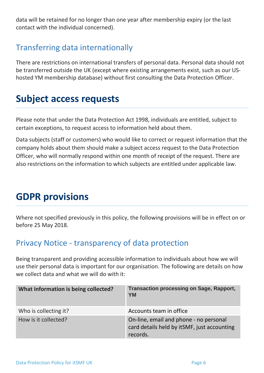data will be retained for no longer than one year after membership expiry (or the last contact with the individual concerned).

## Transferring data internationally

There are restrictions on international transfers of personal data. Personal data should not be transferred outside the UK (except where existing arrangements exist, such as our UShosted YM membership database) without first consulting the Data Protection Officer.

## **Subject access requests**

Please note that under the Data Protection Act 1998, individuals are entitled, subject to certain exceptions, to request access to information held about them.

Data subjects (staff or customers) who would like to correct or request information that the company holds about them should make a subject access request to the Data Protection Officer, who will normally respond within one month of receipt of the request. There are also restrictions on the information to which subjects are entitled under applicable law.

## **GDPR provisions**

Where not specified previously in this policy, the following provisions will be in effect on or before 25 May 2018.

### Privacy Notice - transparency of data protection

Being transparent and providing accessible information to individuals about how we will use their personal data is important for our organisation. The following are details on how we collect data and what we will do with it:

| What information is being collected? | <b>Transaction processing on Sage, Rapport,</b><br><b>YM</b>                                      |
|--------------------------------------|---------------------------------------------------------------------------------------------------|
| Who is collecting it?                | Accounts team in office                                                                           |
| How is it collected?                 | On-line, email and phone - no personal<br>card details held by itSMF, just accounting<br>records. |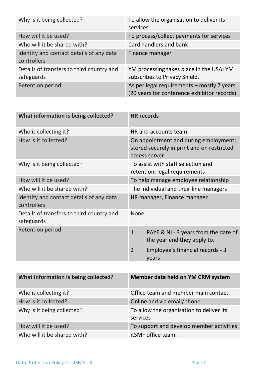| Why is it being collected?                              | To allow the organisation to deliver its<br>services                                      |
|---------------------------------------------------------|-------------------------------------------------------------------------------------------|
| How will it be used?                                    | To process/collect payments for services                                                  |
| Who will it be shared with?                             | Card handlers and bank                                                                    |
| Identity and contact details of any data<br>controllers | Finance manager                                                                           |
| Details of transfers to third country and<br>safeguards | YM processing takes place in the USA; YM<br>subscribes to Privacy Shield.                 |
| <b>Retention period</b>                                 | As per legal requirements - mostly 7 years<br>(20 years for conference exhibitor records) |

| What information is being collected?                    | <b>HR records</b>                                                                                    |
|---------------------------------------------------------|------------------------------------------------------------------------------------------------------|
| Who is collecting it?                                   | HR and accounts team                                                                                 |
| How is it collected?                                    | On appointment and during employment;<br>stored securely in print and on restricted<br>access server |
| Why is it being collected?                              | To assist with staff selection and<br>retention; legal requirements                                  |
| How will it be used?                                    | To help manage employee relationship                                                                 |
| Who will it be shared with?                             | The individual and their line managers                                                               |
| Identity and contact details of any data<br>controllers | HR manager, Finance manager                                                                          |
| Details of transfers to third country and<br>safeguards | <b>None</b>                                                                                          |
| <b>Retention period</b>                                 | $\mathbf{1}$<br>PAYE & NI - 3 years from the date of<br>the year end they apply to.                  |
|                                                         | $\overline{2}$<br>Employee's financial records - 3<br>years                                          |

| What information is being collected? | Member data held on YM CRM system                    |
|--------------------------------------|------------------------------------------------------|
| Who is collecting it?                | Office team and member main contact                  |
| How is it collected?                 | Online and via email/phone.                          |
| Why is it being collected?           | To allow the organisation to deliver its<br>services |
| How will it be used?                 | To support and develop member activities             |
| Who will it be shared with?          | itSMF office team.                                   |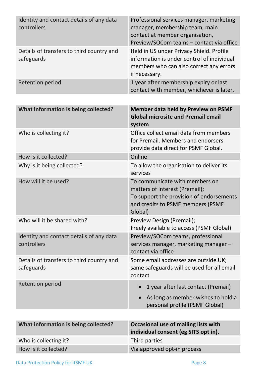| Identity and contact details of any data<br>controllers | Professional services manager, marketing<br>manager, membership team, main<br>contact at member organisation,<br>Preview/SOCom teams - contact via office    |
|---------------------------------------------------------|--------------------------------------------------------------------------------------------------------------------------------------------------------------|
| Details of transfers to third country and<br>safeguards | Held in US under Privacy Shield. Profile<br>information is under control of individual<br>members who can also correct any errors<br>if necessary.           |
| <b>Retention period</b>                                 | 1 year after membership expiry or last<br>contact with member, whichever is later.                                                                           |
|                                                         |                                                                                                                                                              |
| What information is being collected?                    | <b>Member data held by Preview on PSMF</b><br><b>Global microsite and Premail email</b><br>system                                                            |
| Who is collecting it?                                   | Office collect email data from members<br>for Premail. Members and endorsers<br>provide data direct for PSMF Global.                                         |
| How is it collected?                                    | Online                                                                                                                                                       |
| Why is it being collected?                              | To allow the organisation to deliver its<br>services                                                                                                         |
| How will it be used?                                    | To communicate with members on<br>matters of interest (Premail);<br>To support the provision of endorsements<br>and credits to PSMF members (PSMF<br>Global) |
| Who will it be shared with?                             | Preview Design (Premail);<br>Freely available to access (PSMF Global)                                                                                        |
| Identity and contact details of any data<br>controllers | Preview/SOCom teams, professional<br>services manager, marketing manager -<br>contact via office                                                             |
| Details of transfers to third country and<br>safeguards | Some email addresses are outside UK;<br>same safeguards will be used for all email<br>contact                                                                |
| <b>Retention period</b>                                 | 1 year after last contact (Premail)                                                                                                                          |
|                                                         | As long as member wishes to hold a<br>personal profile (PSMF Global)                                                                                         |
|                                                         |                                                                                                                                                              |
| What information is being collected?                    | Occasional use of mailing lists with<br>individual consent (eg SITS opt in).                                                                                 |
| Who is collecting it?                                   | Third parties                                                                                                                                                |

How is it collected? Now is it collected?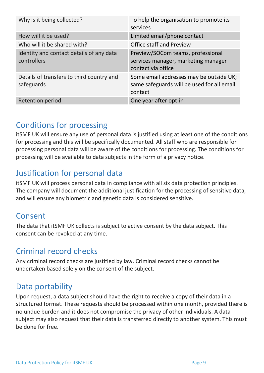| Why is it being collected?                              | To help the organisation to promote its<br>services                                              |
|---------------------------------------------------------|--------------------------------------------------------------------------------------------------|
| How will it be used?                                    | Limited email/phone contact                                                                      |
| Who will it be shared with?                             | <b>Office staff and Preview</b>                                                                  |
| Identity and contact details of any data<br>controllers | Preview/SOCom teams, professional<br>services manager, marketing manager -<br>contact via office |
| Details of transfers to third country and<br>safeguards | Some email addresses may be outside UK;<br>same safeguards will be used for all email<br>contact |
| <b>Retention period</b>                                 | One year after opt-in                                                                            |

## Conditions for processing

itSMF UK will ensure any use of personal data is justified using at least one of the conditions for processing and this will be specifically documented. All staff who are responsible for processing personal data will be aware of the conditions for processing. The conditions for processing will be available to data subjects in the form of a privacy notice.

## Justification for personal data

itSMF UK will process personal data in compliance with all six data protection principles. The company will document the additional justification for the processing of sensitive data, and will ensure any biometric and genetic data is considered sensitive.

## Consent

The data that itSMF UK collects is subject to active consent by the data subject. This consent can be revoked at any time.

### Criminal record checks

Any criminal record checks are justified by law. Criminal record checks cannot be undertaken based solely on the consent of the subject.

### Data portability

Upon request, a data subject should have the right to receive a copy of their data in a structured format. These requests should be processed within one month, provided there is no undue burden and it does not compromise the privacy of other individuals. A data subject may also request that their data is transferred directly to another system. This must be done for free.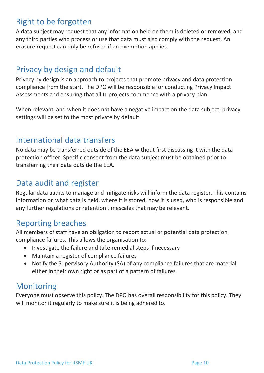## Right to be forgotten

A data subject may request that any information held on them is deleted or removed, and any third parties who process or use that data must also comply with the request. An erasure request can only be refused if an exemption applies.

### Privacy by design and default

Privacy by design is an approach to projects that promote privacy and data protection compliance from the start. The DPO will be responsible for conducting Privacy Impact Assessments and ensuring that all IT projects commence with a privacy plan.

When relevant, and when it does not have a negative impact on the data subject, privacy settings will be set to the most private by default.

### International data transfers

No data may be transferred outside of the EEA without first discussing it with the data protection officer. Specific consent from the data subject must be obtained prior to transferring their data outside the EEA.

### Data audit and register

Regular data audits to manage and mitigate risks will inform the data register. This contains information on what data is held, where it is stored, how it is used, who is responsible and any further regulations or retention timescales that may be relevant.

### Reporting breaches

All members of staff have an obligation to report actual or potential data protection compliance failures. This allows the organisation to:

- Investigate the failure and take remedial steps if necessary
- Maintain a register of compliance failures
- Notify the Supervisory Authority (SA) of any compliance failures that are material either in their own right or as part of a pattern of failures

## Monitoring

Everyone must observe this policy. The DPO has overall responsibility for this policy. They will monitor it regularly to make sure it is being adhered to.